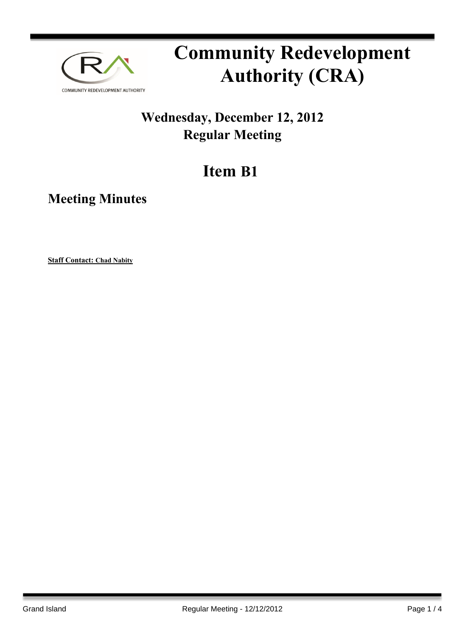

# **Community Redevelopment Authority (CRA)**

### **Wednesday, December 12, 2012 Regular Meeting**

## **Item B1**

**Meeting Minutes**

**Staff Contact: Chad Nabity**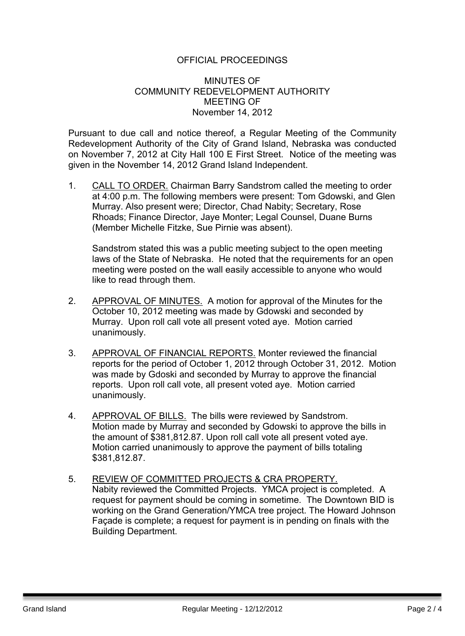#### OFFICIAL PROCEEDINGS

#### MINUTES OF COMMUNITY REDEVELOPMENT AUTHORITY MEETING OF November 14, 2012

Pursuant to due call and notice thereof, a Regular Meeting of the Community Redevelopment Authority of the City of Grand Island, Nebraska was conducted on November 7, 2012 at City Hall 100 E First Street. Notice of the meeting was given in the November 14, 2012 Grand Island Independent.

1. CALL TO ORDER. Chairman Barry Sandstrom called the meeting to order at 4:00 p.m. The following members were present: Tom Gdowski, and Glen Murray. Also present were; Director, Chad Nabity; Secretary, Rose Rhoads; Finance Director, Jaye Monter; Legal Counsel, Duane Burns (Member Michelle Fitzke, Sue Pirnie was absent).

Sandstrom stated this was a public meeting subject to the open meeting laws of the State of Nebraska. He noted that the requirements for an open meeting were posted on the wall easily accessible to anyone who would like to read through them.

- 2. APPROVAL OF MINUTES. A motion for approval of the Minutes for the October 10, 2012 meeting was made by Gdowski and seconded by Murray. Upon roll call vote all present voted aye. Motion carried unanimously.
- 3. APPROVAL OF FINANCIAL REPORTS. Monter reviewed the financial reports for the period of October 1, 2012 through October 31, 2012. Motion was made by Gdoski and seconded by Murray to approve the financial reports. Upon roll call vote, all present voted aye. Motion carried unanimously.
- 4. APPROVAL OF BILLS. The bills were reviewed by Sandstrom. Motion made by Murray and seconded by Gdowski to approve the bills in the amount of \$381,812.87. Upon roll call vote all present voted aye. Motion carried unanimously to approve the payment of bills totaling \$381,812.87.
- 5. REVIEW OF COMMITTED PROJECTS & CRA PROPERTY. Nabity reviewed the Committed Projects. YMCA project is completed. A request for payment should be coming in sometime. The Downtown BID is working on the Grand Generation/YMCA tree project. The Howard Johnson Façade is complete; a request for payment is in pending on finals with the Building Department.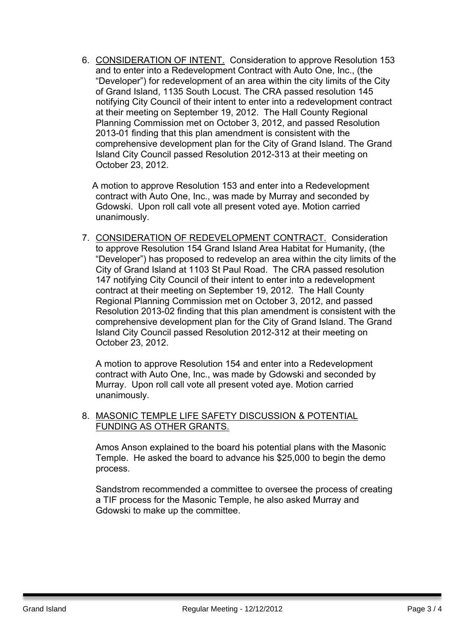6. CONSIDERATION OF INTENT. Consideration to approve Resolution 153 and to enter into a Redevelopment Contract with Auto One, Inc., (the "Developer") for redevelopment of an area within the city limits of the City of Grand Island, 1135 South Locust. The CRA passed resolution 145 notifying City Council of their intent to enter into a redevelopment contract at their meeting on September 19, 2012. The Hall County Regional Planning Commission met on October 3, 2012, and passed Resolution 2013-01 finding that this plan amendment is consistent with the comprehensive development plan for the City of Grand Island. The Grand Island City Council passed Resolution 2012-313 at their meeting on October 23, 2012.

A motion to approve Resolution 153 and enter into a Redevelopment contract with Auto One, Inc., was made by Murray and seconded by Gdowski. Upon roll call vote all present voted aye. Motion carried unanimously.

7. CONSIDERATION OF REDEVELOPMENT CONTRACT. Consideration to approve Resolution 154 Grand Island Area Habitat for Humanity, (the "Developer") has proposed to redevelop an area within the city limits of the City of Grand Island at 1103 St Paul Road. The CRA passed resolution 147 notifying City Council of their intent to enter into a redevelopment contract at their meeting on September 19, 2012. The Hall County Regional Planning Commission met on October 3, 2012, and passed Resolution 2013-02 finding that this plan amendment is consistent with the comprehensive development plan for the City of Grand Island. The Grand Island City Council passed Resolution 2012-312 at their meeting on October 23, 2012.

A motion to approve Resolution 154 and enter into a Redevelopment contract with Auto One, Inc., was made by Gdowski and seconded by Murray. Upon roll call vote all present voted aye. Motion carried unanimously.

#### 8. MASONIC TEMPLE LIFE SAFETY DISCUSSION & POTENTIAL FUNDING AS OTHER GRANTS.

Amos Anson explained to the board his potential plans with the Masonic Temple. He asked the board to advance his \$25,000 to begin the demo process.

Sandstrom recommended a committee to oversee the process of creating a TIF process for the Masonic Temple, he also asked Murray and Gdowski to make up the committee.